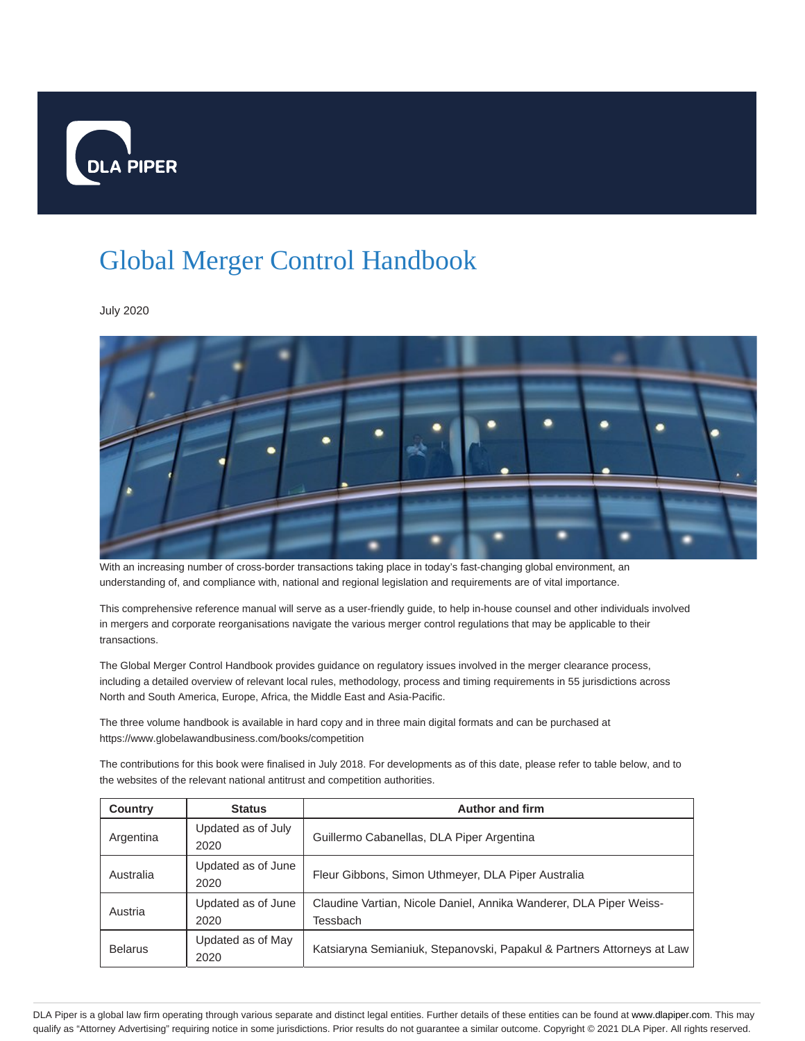

## Global Merger Control Handbook

July 2020



With an increasing number of cross-border transactions taking place in today's fast-changing global environment, an understanding of, and compliance with, national and regional legislation and requirements are of vital importance.

This comprehensive reference manual will serve as a user-friendly guide, to help in-house counsel and other individuals involved in mergers and corporate reorganisations navigate the various merger control regulations that may be applicable to their transactions.

The Global Merger Control Handbook provides guidance on regulatory issues involved in the merger clearance process, including a detailed overview of relevant local rules, methodology, process and timing requirements in 55 jurisdictions across North and South America, Europe, Africa, the Middle East and Asia-Pacific.

The three volume handbook is available in hard copy and in three main digital formats and can be purchased at https://www.globelawandbusiness.com/books/competition

The contributions for this book were finalised in July 2018. For developments as of this date, please refer to table below, and to the websites of the relevant national antitrust and competition authorities.

| <b>Country</b> | <b>Status</b>              | <b>Author and firm</b>                                                         |
|----------------|----------------------------|--------------------------------------------------------------------------------|
| Argentina      | Updated as of July<br>2020 | Guillermo Cabanellas, DLA Piper Argentina                                      |
| Australia      | Updated as of June<br>2020 | Fleur Gibbons, Simon Uthmeyer, DLA Piper Australia                             |
| Austria        | Updated as of June<br>2020 | Claudine Vartian, Nicole Daniel, Annika Wanderer, DLA Piper Weiss-<br>Tessbach |
| <b>Belarus</b> | Updated as of May<br>2020  | Katsiaryna Semianiuk, Stepanovski, Papakul & Partners Attorneys at Law         |

DLA Piper is a global law firm operating through various separate and distinct legal entities. Further details of these entities can be found at www.dlapiper.com. This may qualify as "Attorney Advertising" requiring notice in some jurisdictions. Prior results do not guarantee a similar outcome. Copyright © 2021 DLA Piper. All rights reserved.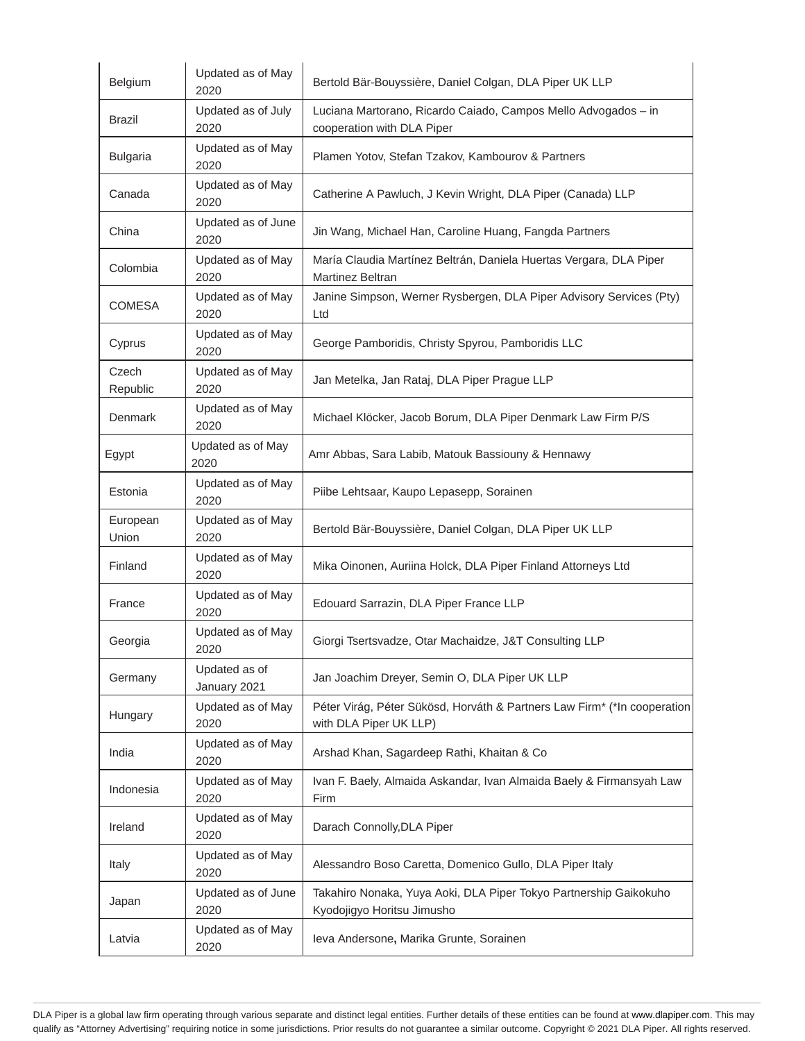| Belgium           | Updated as of May<br>2020     | Bertold Bär-Bouyssière, Daniel Colgan, DLA Piper UK LLP                                            |
|-------------------|-------------------------------|----------------------------------------------------------------------------------------------------|
| Brazil            | Updated as of July<br>2020    | Luciana Martorano, Ricardo Caiado, Campos Mello Advogados - in<br>cooperation with DLA Piper       |
| <b>Bulgaria</b>   | Updated as of May<br>2020     | Plamen Yotov, Stefan Tzakov, Kambourov & Partners                                                  |
| Canada            | Updated as of May<br>2020     | Catherine A Pawluch, J Kevin Wright, DLA Piper (Canada) LLP                                        |
| China             | Updated as of June<br>2020    | Jin Wang, Michael Han, Caroline Huang, Fangda Partners                                             |
| Colombia          | Updated as of May<br>2020     | María Claudia Martínez Beltrán, Daniela Huertas Vergara, DLA Piper<br>Martinez Beltran             |
| <b>COMESA</b>     | Updated as of May<br>2020     | Janine Simpson, Werner Rysbergen, DLA Piper Advisory Services (Pty)<br>Ltd                         |
| Cyprus            | Updated as of May<br>2020     | George Pamboridis, Christy Spyrou, Pamboridis LLC                                                  |
| Czech<br>Republic | Updated as of May<br>2020     | Jan Metelka, Jan Rataj, DLA Piper Prague LLP                                                       |
| Denmark           | Updated as of May<br>2020     | Michael Klöcker, Jacob Borum, DLA Piper Denmark Law Firm P/S                                       |
| Egypt             | Updated as of May<br>2020     | Amr Abbas, Sara Labib, Matouk Bassiouny & Hennawy                                                  |
| Estonia           | Updated as of May<br>2020     | Piibe Lehtsaar, Kaupo Lepasepp, Sorainen                                                           |
| European<br>Union | Updated as of May<br>2020     | Bertold Bär-Bouyssière, Daniel Colgan, DLA Piper UK LLP                                            |
| Finland           | Updated as of May<br>2020     | Mika Oinonen, Auriina Holck, DLA Piper Finland Attorneys Ltd                                       |
| France            | Updated as of May<br>2020     | Edouard Sarrazin, DLA Piper France LLP                                                             |
| Georgia           | Updated as of May<br>2020     | Giorgi Tsertsvadze, Otar Machaidze, J&T Consulting LLP                                             |
| Germany           | Updated as of<br>January 2021 | Jan Joachim Dreyer, Semin O, DLA Piper UK LLP                                                      |
| Hungary           | Updated as of May<br>2020     | Péter Virág, Péter Sükösd, Horváth & Partners Law Firm* (*In cooperation<br>with DLA Piper UK LLP) |
| India             | Updated as of May<br>2020     | Arshad Khan, Sagardeep Rathi, Khaitan & Co                                                         |
| Indonesia         | Updated as of May<br>2020     | Ivan F. Baely, Almaida Askandar, Ivan Almaida Baely & Firmansyah Law<br>Firm                       |
| Ireland           | Updated as of May<br>2020     | Darach Connolly, DLA Piper                                                                         |
| Italy             | Updated as of May<br>2020     | Alessandro Boso Caretta, Domenico Gullo, DLA Piper Italy                                           |
| Japan             | Updated as of June<br>2020    | Takahiro Nonaka, Yuya Aoki, DLA Piper Tokyo Partnership Gaikokuho<br>Kyodojigyo Horitsu Jimusho    |
| Latvia            | Updated as of May<br>2020     | leva Andersone, Marika Grunte, Sorainen                                                            |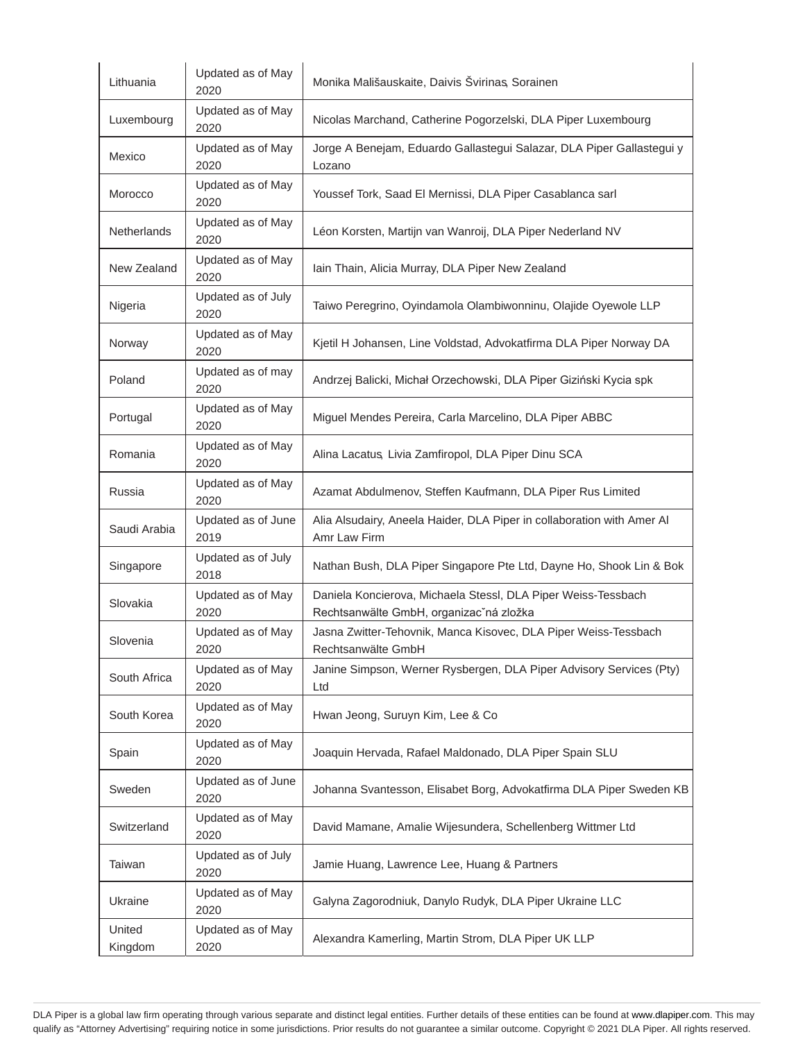| Lithuania    | Updated as of May<br>2020  | Monika Mališauskaite, Daivis Švirinas, Sorainen                                                          |
|--------------|----------------------------|----------------------------------------------------------------------------------------------------------|
| Luxembourg   | Updated as of May<br>2020  | Nicolas Marchand, Catherine Pogorzelski, DLA Piper Luxembourg                                            |
| Mexico       | Updated as of May<br>2020  | Jorge A Benejam, Eduardo Gallastegui Salazar, DLA Piper Gallastegui y<br>Lozano                          |
| Morocco      | Updated as of May<br>2020  | Youssef Tork, Saad El Mernissi, DLA Piper Casablanca sarl                                                |
| Netherlands  | Updated as of May<br>2020  | Léon Korsten, Martijn van Wanroij, DLA Piper Nederland NV                                                |
| New Zealand  | Updated as of May<br>2020  | Iain Thain, Alicia Murray, DLA Piper New Zealand                                                         |
| Nigeria      | Updated as of July<br>2020 | Taiwo Peregrino, Oyindamola Olambiwonninu, Olajide Oyewole LLP                                           |
| Norway       | Updated as of May<br>2020  | Kjetil H Johansen, Line Voldstad, Advokatfirma DLA Piper Norway DA                                       |
| Poland       | Updated as of may<br>2020  | Andrzej Balicki, Michał Orzechowski, DLA Piper Giziński Kycia spk                                        |
| Portugal     | Updated as of May<br>2020  | Miguel Mendes Pereira, Carla Marcelino, DLA Piper ABBC                                                   |
| Romania      | Updated as of May<br>2020  | Alina Lacatus, Livia Zamfiropol, DLA Piper Dinu SCA                                                      |
| Russia       | Updated as of May<br>2020  | Azamat Abdulmenov, Steffen Kaufmann, DLA Piper Rus Limited                                               |
|              |                            |                                                                                                          |
| Saudi Arabia | Updated as of June<br>2019 | Alia Alsudairy, Aneela Haider, DLA Piper in collaboration with Amer Al<br>Amr Law Firm                   |
| Singapore    | Updated as of July<br>2018 | Nathan Bush, DLA Piper Singapore Pte Ltd, Dayne Ho, Shook Lin & Bok                                      |
| Slovakia     | Updated as of May<br>2020  | Daniela Koncierova, Michaela Stessl, DLA Piper Weiss-Tessbach<br>Rechtsanwälte GmbH, organizac'ná zložka |
| Slovenia     | Updated as of May<br>2020  | Jasna Zwitter-Tehovnik, Manca Kisovec, DLA Piper Weiss-Tessbach<br>Rechtsanwälte GmbH                    |
| South Africa | Updated as of May<br>2020  | Janine Simpson, Werner Rysbergen, DLA Piper Advisory Services (Pty)<br>Ltd                               |
| South Korea  | Updated as of May<br>2020  | Hwan Jeong, Suruyn Kim, Lee & Co                                                                         |
| Spain        | Updated as of May<br>2020  | Joaquin Hervada, Rafael Maldonado, DLA Piper Spain SLU                                                   |
| Sweden       | Updated as of June<br>2020 | Johanna Svantesson, Elisabet Borg, Advokatfirma DLA Piper Sweden KB                                      |
| Switzerland  | Updated as of May<br>2020  | David Mamane, Amalie Wijesundera, Schellenberg Wittmer Ltd                                               |
| Taiwan       | Updated as of July<br>2020 | Jamie Huang, Lawrence Lee, Huang & Partners                                                              |
| Ukraine      | Updated as of May<br>2020  | Galyna Zagorodniuk, Danylo Rudyk, DLA Piper Ukraine LLC                                                  |